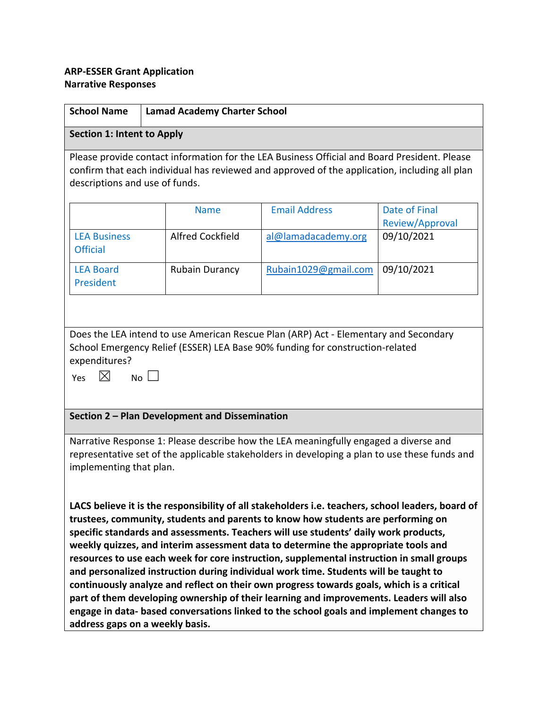## **ARP-ESSER Grant Application Narrative Responses**

| <b>School Name</b>                                                                                                                                                                                                                                                                                                                                                                                                                                                                                                                                                                                                                                                                                                                                                                                                                                                            | <b>Lamad Academy Charter School</b> |                      |                                  |
|-------------------------------------------------------------------------------------------------------------------------------------------------------------------------------------------------------------------------------------------------------------------------------------------------------------------------------------------------------------------------------------------------------------------------------------------------------------------------------------------------------------------------------------------------------------------------------------------------------------------------------------------------------------------------------------------------------------------------------------------------------------------------------------------------------------------------------------------------------------------------------|-------------------------------------|----------------------|----------------------------------|
| <b>Section 1: Intent to Apply</b>                                                                                                                                                                                                                                                                                                                                                                                                                                                                                                                                                                                                                                                                                                                                                                                                                                             |                                     |                      |                                  |
| Please provide contact information for the LEA Business Official and Board President. Please<br>confirm that each individual has reviewed and approved of the application, including all plan<br>descriptions and use of funds.                                                                                                                                                                                                                                                                                                                                                                                                                                                                                                                                                                                                                                               |                                     |                      |                                  |
|                                                                                                                                                                                                                                                                                                                                                                                                                                                                                                                                                                                                                                                                                                                                                                                                                                                                               | <b>Name</b>                         | <b>Email Address</b> | Date of Final<br>Review/Approval |
| <b>LEA Business</b><br><b>Official</b>                                                                                                                                                                                                                                                                                                                                                                                                                                                                                                                                                                                                                                                                                                                                                                                                                                        | <b>Alfred Cockfield</b>             | al@lamadacademy.org  | 09/10/2021                       |
| <b>LEA Board</b><br>President                                                                                                                                                                                                                                                                                                                                                                                                                                                                                                                                                                                                                                                                                                                                                                                                                                                 | <b>Rubain Durancy</b>               | Rubain1029@gmail.com | 09/10/2021                       |
|                                                                                                                                                                                                                                                                                                                                                                                                                                                                                                                                                                                                                                                                                                                                                                                                                                                                               |                                     |                      |                                  |
| Does the LEA intend to use American Rescue Plan (ARP) Act - Elementary and Secondary<br>School Emergency Relief (ESSER) LEA Base 90% funding for construction-related<br>expenditures?<br>$\bowtie$<br>$No \Box$<br>Yes                                                                                                                                                                                                                                                                                                                                                                                                                                                                                                                                                                                                                                                       |                                     |                      |                                  |
| Section 2 - Plan Development and Dissemination                                                                                                                                                                                                                                                                                                                                                                                                                                                                                                                                                                                                                                                                                                                                                                                                                                |                                     |                      |                                  |
| Narrative Response 1: Please describe how the LEA meaningfully engaged a diverse and<br>representative set of the applicable stakeholders in developing a plan to use these funds and<br>implementing that plan.                                                                                                                                                                                                                                                                                                                                                                                                                                                                                                                                                                                                                                                              |                                     |                      |                                  |
| LACS believe it is the responsibility of all stakeholders i.e. teachers, school leaders, board of<br>trustees, community, students and parents to know how students are performing on<br>specific standards and assessments. Teachers will use students' daily work products,<br>weekly quizzes, and interim assessment data to determine the appropriate tools and<br>resources to use each week for core instruction, supplemental instruction in small groups<br>and personalized instruction during individual work time. Students will be taught to<br>continuously analyze and reflect on their own progress towards goals, which is a critical<br>part of them developing ownership of their learning and improvements. Leaders will also<br>engage in data-based conversations linked to the school goals and implement changes to<br>address gaps on a weekly basis. |                                     |                      |                                  |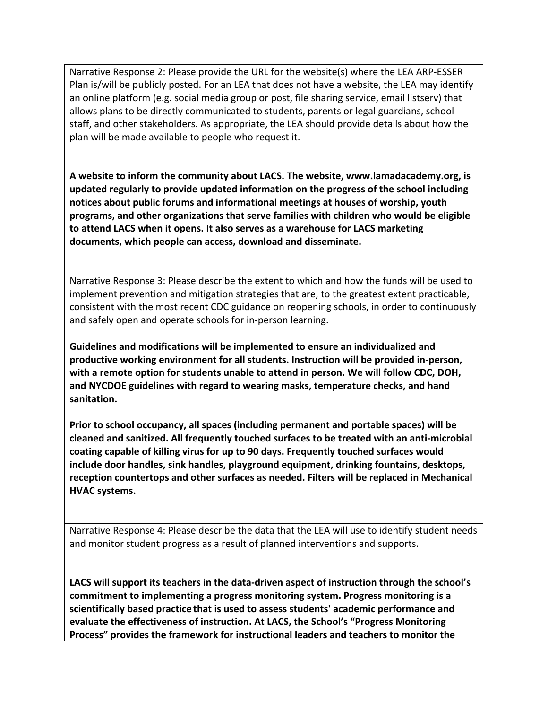Narrative Response 2: Please provide the URL for the website(s) where the LEA ARP-ESSER Plan is/will be publicly posted. For an LEA that does not have a website, the LEA may identify an online platform (e.g. social media group or post, file sharing service, email listserv) that allows plans to be directly communicated to students, parents or legal guardians, school staff, and other stakeholders. As appropriate, the LEA should provide details about how the plan will be made available to people who request it.

**A website to inform the community about LACS. The website, www.lamadacademy.org, is updated regularly to provide updated information on the progress of the school including notices about public forums and informational meetings at houses of worship, youth programs, and other organizations that serve families with children who would be eligible to attend LACS when it opens. It also serves as a warehouse for LACS marketing documents, which people can access, download and disseminate.** 

Narrative Response 3: Please describe the extent to which and how the funds will be used to implement prevention and mitigation strategies that are, to the greatest extent practicable, consistent with the most recent CDC guidance on reopening schools, in order to continuously and safely open and operate schools for in-person learning.

**Guidelines and modifications will be implemented to ensure an individualized and productive working environment for all students. Instruction will be provided in-person, with a remote option for students unable to attend in person. We will follow CDC, DOH, and NYCDOE guidelines with regard to wearing masks, temperature checks, and hand sanitation.**

**Prior to school occupancy, all spaces (including permanent and portable spaces) will be cleaned and sanitized. All frequently touched surfaces to be treated with an anti-microbial coating capable of killing virus for up to 90 days. Frequently touched surfaces would include door handles, sink handles, playground equipment, drinking fountains, desktops, reception countertops and other surfaces as needed. Filters will be replaced in Mechanical HVAC systems.**

Narrative Response 4: Please describe the data that the LEA will use to identify student needs and monitor student progress as a result of planned interventions and supports.

**LACS will support its teachers in the data-driven aspect of instruction through the school's commitment to implementing a progress monitoring system. Progress monitoring is a scientifically based practice that is used to assess students' academic performance and evaluate the effectiveness of instruction. At LACS, the School's "Progress Monitoring Process" provides the framework for instructional leaders and teachers to monitor the**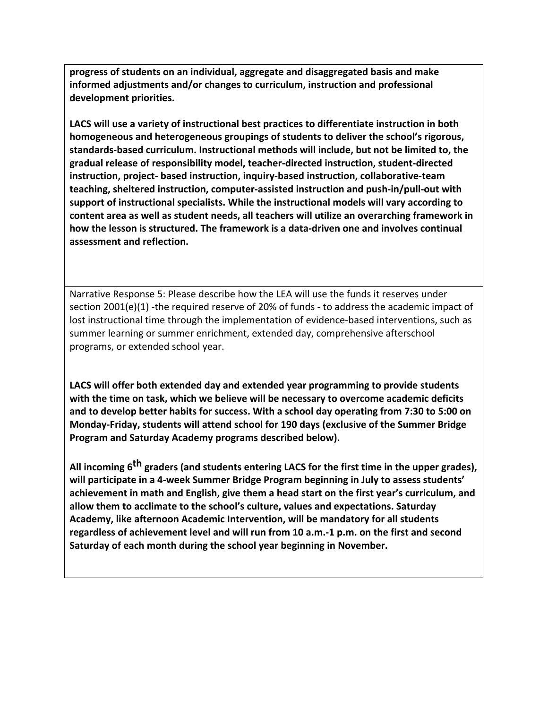**progress of students on an individual, aggregate and disaggregated basis and make informed adjustments and/or changes to curriculum, instruction and professional development priorities.** 

**LACS will use a variety of instructional best practices to differentiate instruction in both homogeneous and heterogeneous groupings of students to deliver the school's rigorous, standards-based curriculum. Instructional methods will include, but not be limited to, the gradual release of responsibility model, teacher-directed instruction, student-directed instruction, project- based instruction, inquiry-based instruction, collaborative-team teaching, sheltered instruction, computer-assisted instruction and push-in/pull-out with support of instructional specialists. While the instructional models will vary according to content area as well as student needs, all teachers will utilize an overarching framework in how the lesson is structured. The framework is a data-driven one and involves continual assessment and reflection.** 

Narrative Response 5: Please describe how the LEA will use the funds it reserves under section 2001(e)(1) -the required reserve of 20% of funds - to address the academic impact of lost instructional time through the implementation of evidence-based interventions, such as summer learning or summer enrichment, extended day, comprehensive afterschool programs, or extended school year.

**LACS will offer both extended day and extended year programming to provide students with the time on task, which we believe will be necessary to overcome academic deficits and to develop better habits for success. With a school day operating from 7:30 to 5:00 on Monday-Friday, students will attend school for 190 days (exclusive of the Summer Bridge Program and Saturday Academy programs described below).** 

**All incoming 6th graders (and students entering LACS for the first time in the upper grades), will participate in a 4-week Summer Bridge Program beginning in July to assess students' achievement in math and English, give them a head start on the first year's curriculum, and allow them to acclimate to the school's culture, values and expectations. Saturday Academy, like afternoon Academic Intervention, will be mandatory for all students regardless of achievement level and will run from 10 a.m.-1 p.m. on the first and second Saturday of each month during the school year beginning in November.**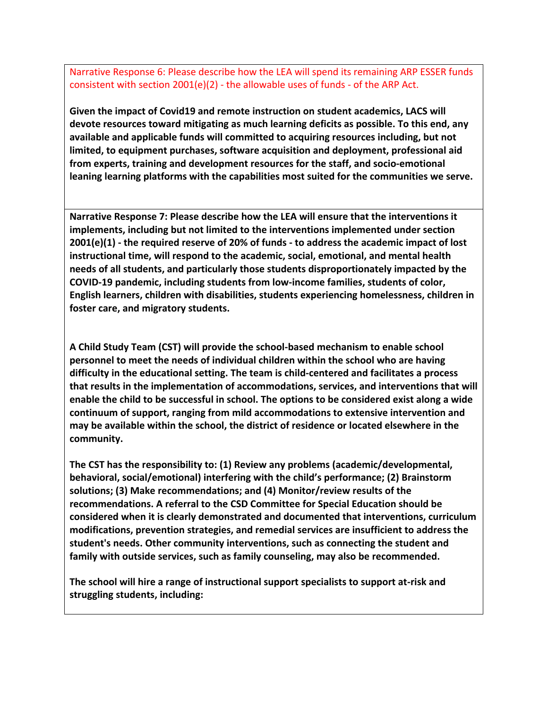Narrative Response 6: Please describe how the LEA will spend its remaining ARP ESSER funds consistent with section  $2001(e)(2)$  - the allowable uses of funds - of the ARP Act.

**Given the impact of Covid19 and remote instruction on student academics, LACS will devote resources toward mitigating as much learning deficits as possible. To this end, any available and applicable funds will committed to acquiring resources including, but not limited, to equipment purchases, software acquisition and deployment, professional aid from experts, training and development resources for the staff, and socio-emotional leaning learning platforms with the capabilities most suited for the communities we serve.** 

**Narrative Response 7: Please describe how the LEA will ensure that the interventions it implements, including but not limited to the interventions implemented under section 2001(e)(1) - the required reserve of 20% of funds - to address the academic impact of lost instructional time, will respond to the academic, social, emotional, and mental health needs of all students, and particularly those students disproportionately impacted by the COVID-19 pandemic, including students from low-income families, students of color, English learners, children with disabilities, students experiencing homelessness, children in foster care, and migratory students.**

**A Child Study Team (CST) will provide the school-based mechanism to enable school personnel to meet the needs of individual children within the school who are having difficulty in the educational setting. The team is child-centered and facilitates a process that results in the implementation of accommodations, services, and interventions that will enable the child to be successful in school. The options to be considered exist along a wide continuum of support, ranging from mild accommodations to extensive intervention and may be available within the school, the district of residence or located elsewhere in the community.** 

**The CST has the responsibility to: (1) Review any problems (academic/developmental, behavioral, social/emotional) interfering with the child's performance; (2) Brainstorm solutions; (3) Make recommendations; and (4) Monitor/review results of the recommendations. A referral to the CSD Committee for Special Education should be considered when it is clearly demonstrated and documented that interventions, curriculum modifications, prevention strategies, and remedial services are insufficient to address the student's needs. Other community interventions, such as connecting the student and family with outside services, such as family counseling, may also be recommended.** 

**The school will hire a range of instructional support specialists to support at-risk and struggling students, including:**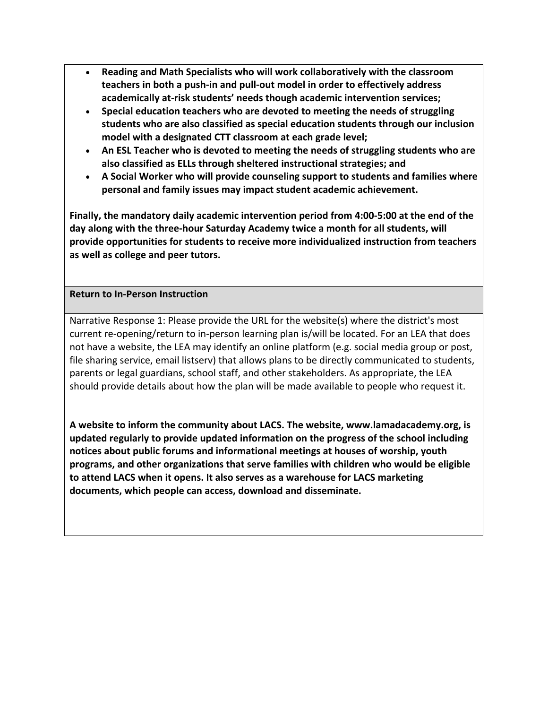- **Reading and Math Specialists who will work collaboratively with the classroom teachers in both a push-in and pull-out model in order to effectively address academically at-risk students' needs though academic intervention services;**
- **Special education teachers who are devoted to meeting the needs of struggling students who are also classified as special education students through our inclusion model with a designated CTT classroom at each grade level;**
- **An ESL Teacher who is devoted to meeting the needs of struggling students who are also classified as ELLs through sheltered instructional strategies; and**
- **A Social Worker who will provide counseling support to students and families where personal and family issues may impact student academic achievement.**

**Finally, the mandatory daily academic intervention period from 4:00-5:00 at the end of the day along with the three-hour Saturday Academy twice a month for all students, will provide opportunities for students to receive more individualized instruction from teachers as well as college and peer tutors.** 

## **Return to In-Person Instruction**

Narrative Response 1: Please provide the URL for the website(s) where the district's most current re-opening/return to in-person learning plan is/will be located. For an LEA that does not have a website, the LEA may identify an online platform (e.g. social media group or post, file sharing service, email listserv) that allows plans to be directly communicated to students, parents or legal guardians, school staff, and other stakeholders. As appropriate, the LEA should provide details about how the plan will be made available to people who request it.

**A website to inform the community about LACS. The website, www.lamadacademy.org, is updated regularly to provide updated information on the progress of the school including notices about public forums and informational meetings at houses of worship, youth programs, and other organizations that serve families with children who would be eligible to attend LACS when it opens. It also serves as a warehouse for LACS marketing documents, which people can access, download and disseminate.**